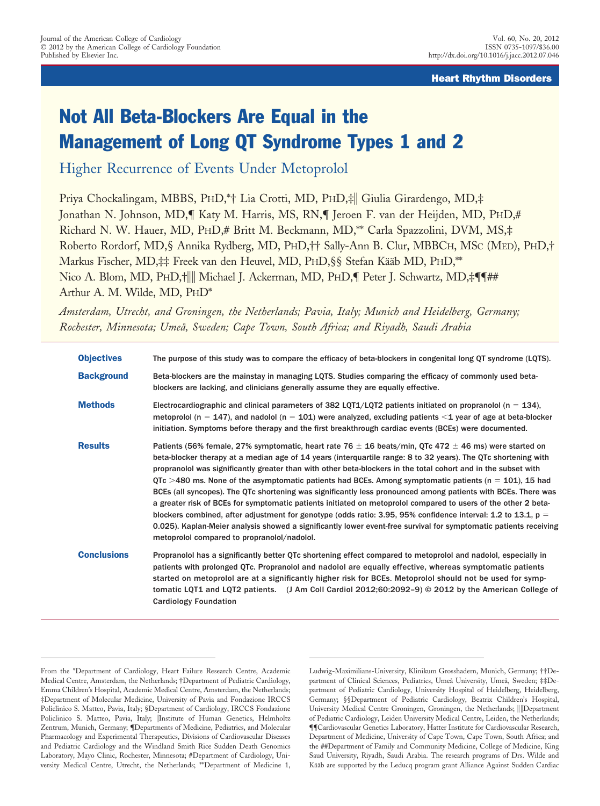Heart Rhythm Disorders

# Not All Beta-Blockers Are Equal in the Management of Long QT Syndrome Types 1 and 2

Higher Recurrence of Events Under Metoprolol

Priya Chockalingam, MBBS, PHD,\*† Lia Crotti, MD, PHD,‡|| Giulia Girardengo, MD,‡ Jonathan N. Johnson, MD,¶ Katy M. Harris, MS, RN,¶ Jeroen F. van der Heijden, MD, PHD,# Richard N. W. Hauer, MD, PHD,# Britt M. Beckmann, MD,\*\* Carla Spazzolini, DVM, MS,‡ Roberto Rordorf, MD,§ Annika Rydberg, MD, PHD,†† Sally-Ann B. Clur, MBBCH, MSC (MED), PHD,† Markus Fischer, MD,‡‡ Freek van den Heuvel, MD, PHD,§§ Stefan Kääb MD, PHD,\*\* Nico A. Blom, MD, PHD,†|||| Michael J. Ackerman, MD, PHD,¶ Peter J. Schwartz, MD,‡¶¶## Arthur A. M. Wilde, MD, PHD\*

*Amsterdam, Utrecht, and Groningen, the Netherlands; Pavia, Italy; Munich and Heidelberg, Germany; Rochester, Minnesota; Umeå, Sweden; Cape Town, South Africa; and Riyadh, Saudi Arabia*

| <b>Objectives</b>  | The purpose of this study was to compare the efficacy of beta-blockers in congenital long QT syndrome (LQTS).                                                                                                                                                                                                                                                                                                                                                                                                                                                                                                                                                                                                                                                                                                                                                                                                                                                                            |
|--------------------|------------------------------------------------------------------------------------------------------------------------------------------------------------------------------------------------------------------------------------------------------------------------------------------------------------------------------------------------------------------------------------------------------------------------------------------------------------------------------------------------------------------------------------------------------------------------------------------------------------------------------------------------------------------------------------------------------------------------------------------------------------------------------------------------------------------------------------------------------------------------------------------------------------------------------------------------------------------------------------------|
| <b>Background</b>  | Beta-blockers are the mainstay in managing LQTS. Studies comparing the efficacy of commonly used beta-<br>blockers are lacking, and clinicians generally assume they are equally effective.                                                                                                                                                                                                                                                                                                                                                                                                                                                                                                                                                                                                                                                                                                                                                                                              |
| <b>Methods</b>     | Electrocardiographic and clinical parameters of 382 LQT1/LQT2 patients initiated on propranolol ( $n = 134$ ),<br>metoprolol (n = 147), and nadolol (n = 101) were analyzed, excluding patients $\leq$ 1 year of age at beta-blocker<br>initiation. Symptoms before therapy and the first breakthrough cardiac events (BCEs) were documented.                                                                                                                                                                                                                                                                                                                                                                                                                                                                                                                                                                                                                                            |
| <b>Results</b>     | Patients (56% female, 27% symptomatic, heart rate 76 $\pm$ 16 beats/min, QTc 472 $\pm$ 46 ms) were started on<br>beta-blocker therapy at a median age of 14 years (interquartile range: 8 to 32 years). The QTc shortening with<br>propranolol was significantly greater than with other beta-blockers in the total cohort and in the subset with<br>QTc >480 ms. None of the asymptomatic patients had BCEs. Among symptomatic patients ( $n = 101$ ), 15 had<br>BCEs (all syncopes). The QTc shortening was significantly less pronounced among patients with BCEs. There was<br>a greater risk of BCEs for symptomatic patients initiated on metoprolol compared to users of the other 2 beta-<br>blockers combined, after adjustment for genotype (odds ratio: 3.95, 95% confidence interval: 1.2 to 13.1, $p =$<br>0.025). Kaplan-Meier analysis showed a significantly lower event-free survival for symptomatic patients receiving<br>metoprolol compared to propranolol/nadolol. |
| <b>Conclusions</b> | Propranolol has a significantly better QTc shortening effect compared to metoprolol and nadolol, especially in<br>patients with prolonged QTc. Propranolol and nadolol are equally effective, whereas symptomatic patients<br>started on metoprolol are at a significantly higher risk for BCEs. Metoprolol should not be used for symp-<br>tomatic LQT1 and LQT2 patients. (J Am Coll Cardiol 2012;60:2092-9) © 2012 by the American College of<br><b>Cardiology Foundation</b>                                                                                                                                                                                                                                                                                                                                                                                                                                                                                                         |

Ludwig-Maximilians-University, Klinikum Grosshadern, Munich, Germany; ††Department of Clinical Sciences, Pediatrics, Umeå University, Umeå, Sweden; ‡‡Department of Pediatric Cardiology, University Hospital of Heidelberg, Heidelberg, Germany; §§Department of Pediatric Cardiology, Beatrix Children's Hospital, University Medical Centre Groningen, Groningen, the Netherlands; |||Department of Pediatric Cardiology, Leiden University Medical Centre, Leiden, the Netherlands; ¶¶Cardiovascular Genetics Laboratory, Hatter Institute for Cardiovascular Research, Department of Medicine, University of Cape Town, Cape Town, South Africa; and the ##Department of Family and Community Medicine, College of Medicine, King Saud University, Riyadh, Saudi Arabia. The research programs of Drs. Wilde and Kääb are supported by the Leducq program grant Alliance Against Sudden Cardiac

From the \*Department of Cardiology, Heart Failure Research Centre, Academic Medical Centre, Amsterdam, the Netherlands; †Department of Pediatric Cardiology, Emma Children's Hospital, Academic Medical Centre, Amsterdam, the Netherlands; ‡Department of Molecular Medicine, University of Pavia and Fondazione IRCCS Policlinico S. Matteo, Pavia, Italy; §Department of Cardiology, IRCCS Fondazione Policlinico S. Matteo, Pavia, Italy; | Institute of Human Genetics, Helmholtz Zentrum, Munich, Germany; ¶Departments of Medicine, Pediatrics, and Molecular Pharmacology and Experimental Therapeutics, Divisions of Cardiovascular Diseases and Pediatric Cardiology and the Windland Smith Rice Sudden Death Genomics Laboratory, Mayo Clinic, Rochester, Minnesota; #Department of Cardiology, University Medical Centre, Utrecht, the Netherlands; \*\*Department of Medicine 1,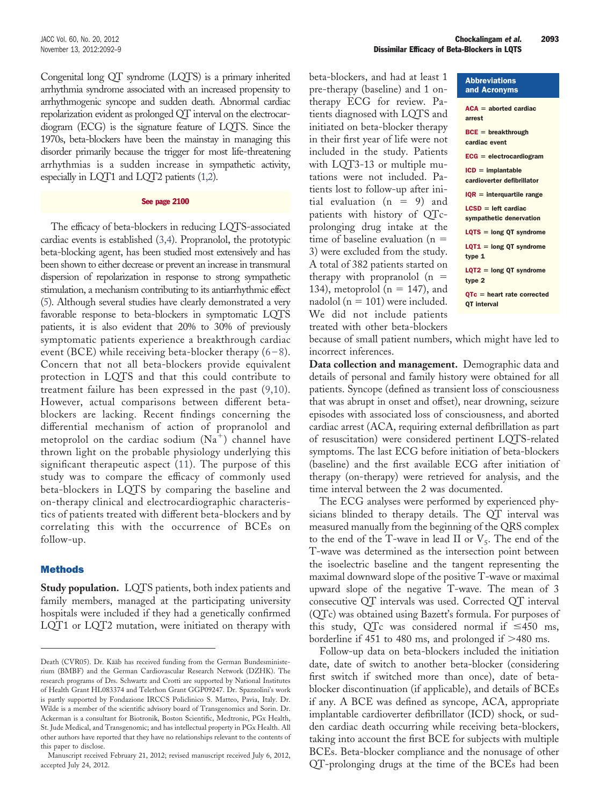Congenital long QT syndrome (LQTS) is a primary inherited arrhythmia syndrome associated with an increased propensity to arrhythmogenic syncope and sudden death. Abnormal cardiac repolarization evident as prolonged QT interval on the electrocardiogram (ECG) is the signature feature of LQTS. Since the 1970s, beta-blockers have been the mainstay in managing this disorder primarily because the trigger for most life-threatening arrhythmias is a sudden increase in sympathetic activity, especially in LQT1 and LQT2 patients (1,2).

#### See page 2100

The efficacy of beta-blockers in reducing LQTS-associated cardiac events is established (3,4). Propranolol, the prototypic beta-blocking agent, has been studied most extensively and has been shown to either decrease or prevent an increase in transmural dispersion of repolarization in response to strong sympathetic stimulation, a mechanism contributing to its antiarrhythmic effect (5). Although several studies have clearly demonstrated a very favorable response to beta-blockers in symptomatic LQTS patients, it is also evident that 20% to 30% of previously symptomatic patients experience a breakthrough cardiac event (BCE) while receiving beta-blocker therapy  $(6-8)$ . Concern that not all beta-blockers provide equivalent protection in LQTS and that this could contribute to treatment failure has been expressed in the past (9,10). However, actual comparisons between different betablockers are lacking. Recent findings concerning the differential mechanism of action of propranolol and metoprolol on the cardiac sodium  $(Na^+)$  channel have thrown light on the probable physiology underlying this significant therapeutic aspect (11). The purpose of this study was to compare the efficacy of commonly used beta-blockers in LQTS by comparing the baseline and on-therapy clinical and electrocardiographic characteristics of patients treated with different beta-blockers and by correlating this with the occurrence of BCEs on follow-up.

### Methods

**Study population.** LQTS patients, both index patients and family members, managed at the participating university hospitals were included if they had a genetically confirmed LQT1 or LQT2 mutation, were initiated on therapy with

beta-blockers, and had at least 1 pre-therapy (baseline) and 1 ontherapy ECG for review. Patients diagnosed with LQTS and initiated on beta-blocker therapy in their first year of life were not included in the study. Patients with LQT3-13 or multiple mutations were not included. Patients lost to follow-up after initial evaluation  $(n = 9)$  and patients with history of QTcprolonging drug intake at the time of baseline evaluation (n 3) were excluded from the study. A total of 382 patients started on therapy with propranolol (n 134), metoprolol ( $n = 147$ ), and nadolol ( $n = 101$ ) were included. We did not include patients treated with other beta-blockers

#### Abbreviations and Acronyms

| $ACA = aborted\ cardiag$<br>arrest                |
|---------------------------------------------------|
| $BCE = breakthrough$<br>cardiac event             |
| $ECG = electrocardiogram$                         |
| $ICD = implantable$<br>cardioverter defibrillator |
| $IQR = interquartile range$                       |
| $LCSD = left$ cardiac<br>sympathetic denervation  |
| $LQTS = long QT$ syndrome                         |
| $LQT1 = long QT$ syndrome<br>type 1               |
| $LQT2 = long QT$ syndrome<br>type 2               |
| $QTe =$ heart rate corrected<br>QT interval       |

because of small patient numbers, which might have led to incorrect inferences.

**Data collection and management.** Demographic data and details of personal and family history were obtained for all patients. Syncope (defined as transient loss of consciousness that was abrupt in onset and offset), near drowning, seizure episodes with associated loss of consciousness, and aborted cardiac arrest (ACA, requiring external defibrillation as part of resuscitation) were considered pertinent LQTS-related symptoms. The last ECG before initiation of beta-blockers (baseline) and the first available ECG after initiation of therapy (on-therapy) were retrieved for analysis, and the time interval between the 2 was documented.

The ECG analyses were performed by experienced physicians blinded to therapy details. The QT interval was measured manually from the beginning of the QRS complex to the end of the T-wave in lead II or  $V_5$ . The end of the T-wave was determined as the intersection point between the isoelectric baseline and the tangent representing the maximal downward slope of the positive T-wave or maximal upward slope of the negative T-wave. The mean of 3 consecutive QT intervals was used. Corrected QT interval (QTc) was obtained using Bazett's formula. For purposes of this study, QTc was considered normal if  $\leq 450$  ms, borderline if 451 to 480 ms, and prolonged if  $>480$  ms.

Follow-up data on beta-blockers included the initiation date, date of switch to another beta-blocker (considering first switch if switched more than once), date of betablocker discontinuation (if applicable), and details of BCEs if any. A BCE was defined as syncope, ACA, appropriate implantable cardioverter defibrillator (ICD) shock, or sudden cardiac death occurring while receiving beta-blockers, taking into account the first BCE for subjects with multiple BCEs. Beta-blocker compliance and the nonusage of other QT-prolonging drugs at the time of the BCEs had been

Death (CVR05). Dr. Kääb has received funding from the German Bundesministerium (BMBF) and the German Cardiovascular Research Network (DZHK). The research programs of Drs. Schwartz and Crotti are supported by National Institutes of Health Grant HL083374 and Telethon Grant GGP09247. Dr. Spazzolini's work is partly supported by Fondazione IRCCS Policlinico S. Matteo, Pavia, Italy. Dr. Wilde is a member of the scientific advisory board of Transgenomics and Sorin. Dr. Ackerman is a consultant for Biotronik, Boston Scientific, Medtronic, PGx Health, St. Jude Medical, and Transgenomic; and has intellectual property in PGx Health. All other authors have reported that they have no relationships relevant to the contents of this paper to disclose.

Manuscript received February 21, 2012; revised manuscript received July 6, 2012, accepted July 24, 2012.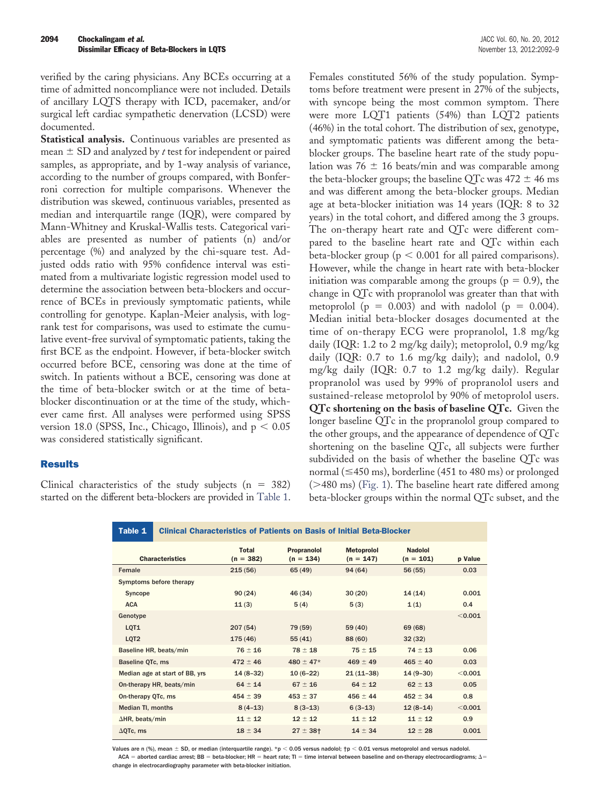verified by the caring physicians. Any BCEs occurring at a time of admitted noncompliance were not included. Details of ancillary LQTS therapy with ICD, pacemaker, and/or surgical left cardiac sympathetic denervation (LCSD) were documented.

**Statistical analysis.** Continuous variables are presented as mean  $\pm$  SD and analyzed by *t* test for independent or paired samples, as appropriate, and by 1-way analysis of variance, according to the number of groups compared, with Bonferroni correction for multiple comparisons. Whenever the distribution was skewed, continuous variables, presented as median and interquartile range (IQR), were compared by Mann-Whitney and Kruskal-Wallis tests. Categorical variables are presented as number of patients (n) and/or percentage (%) and analyzed by the chi-square test. Adjusted odds ratio with 95% confidence interval was estimated from a multivariate logistic regression model used to determine the association between beta-blockers and occurrence of BCEs in previously symptomatic patients, while controlling for genotype. Kaplan-Meier analysis, with logrank test for comparisons, was used to estimate the cumulative event-free survival of symptomatic patients, taking the first BCE as the endpoint. However, if beta-blocker switch occurred before BCE, censoring was done at the time of switch. In patients without a BCE, censoring was done at the time of beta-blocker switch or at the time of betablocker discontinuation or at the time of the study, whichever came first. All analyses were performed using SPSS version 18.0 (SPSS, Inc., Chicago, Illinois), and  $p < 0.05$ was considered statistically significant.

# Results

Clinical characteristics of the study subjects  $(n = 382)$ started on the different beta-blockers are provided in Table 1.

Females constituted 56% of the study population. Symptoms before treatment were present in 27% of the subjects, with syncope being the most common symptom. There were more LQT1 patients (54%) than LQT2 patients (46%) in the total cohort. The distribution of sex, genotype, and symptomatic patients was different among the betablocker groups. The baseline heart rate of the study population was  $76 \pm 16$  beats/min and was comparable among the beta-blocker groups; the baseline QTc was  $472 \pm 46$  ms and was different among the beta-blocker groups. Median age at beta-blocker initiation was 14 years (IQR: 8 to 32 years) in the total cohort, and differed among the 3 groups. The on-therapy heart rate and QTc were different compared to the baseline heart rate and QTc within each beta-blocker group ( $p < 0.001$  for all paired comparisons). However, while the change in heart rate with beta-blocker initiation was comparable among the groups ( $p = 0.9$ ), the change in QTc with propranolol was greater than that with metoprolol ( $p = 0.003$ ) and with nadolol ( $p = 0.004$ ). Median initial beta-blocker dosages documented at the time of on-therapy ECG were propranolol, 1.8 mg/kg daily (IQR: 1.2 to 2 mg/kg daily); metoprolol, 0.9 mg/kg daily (IQR: 0.7 to 1.6 mg/kg daily); and nadolol, 0.9 mg/kg daily (IQR: 0.7 to 1.2 mg/kg daily). Regular propranolol was used by 99% of propranolol users and sustained-release metoprolol by 90% of metoprolol users. **QTc shortening on the basis of baseline QTc.** Given the longer baseline QTc in the propranolol group compared to the other groups, and the appearance of dependence of QTc shortening on the baseline QTc, all subjects were further subdivided on the basis of whether the baseline QTc was normal (450 ms), borderline (451 to 480 ms) or prolonged  $($ >480 ms) (Fig. 1). The baseline heart rate differed among beta-blocker groups within the normal QTc subset, and the

 $< 0.001$ 

 $< 0.001$ 

| <b>Characteristics</b>  | <b>Total</b><br>$(n = 382)$ | Propranolol<br>$(n = 134)$ | <b>Metoprolol</b><br>$(n = 147)$ | <b>Nadolol</b><br>$(n = 101)$ | p Value   |
|-------------------------|-----------------------------|----------------------------|----------------------------------|-------------------------------|-----------|
| Female                  | 215(56)                     | 65(49)                     | 94(64)                           | 56(55)                        | 0.03      |
| Symptoms before therapy |                             |                            |                                  |                               |           |
| Syncope                 | 90(24)                      | 46 (34)                    | 30(20)                           | 14(14)                        | 0.001     |
| <b>ACA</b>              | 11(3)                       | 5(4)                       | 5(3)                             | 1(1)                          | 0.4       |
| Genotype                |                             |                            |                                  |                               | $<$ 0.001 |
| LQT1                    | 207(54)                     | 79 (59)                    | 59(40)                           | 69 (68)                       |           |

LQT2 175 (46) 55 (41) 88 (60) 32 (32)

Median age at start of BB, yrs  $14 (8-32)$   $10 (6-22)$   $21 (11-38)$   $14 (9-30)$ 

Median TI, months 8 (4–13) 8 (3–13) 6 (3–13) 12 (8–14)

#### Table 1 Clinical Characteristics of Patients on Basis of Initial Beta-Blocker

Values are n (%), mean  $\pm$  SD, or median (interquartile range). \*p  $<$  0.05 versus nadolol; †p  $<$  0.01 versus metoprolol and versus nadolol. ACA = aborted cardiac arrest; BB = beta-blocker; HR = heart rate; TI = time interval between baseline and on-therapy electrocardiograms;  $\Delta$ change in electrocardiography parameter with beta-blocker initiation.

Baseline HR, beats/min  $76 \pm 16$   $78 \pm 18$   $75 \pm 15$   $74 \pm 13$  0.06 Baseline QTc, ms  $472 \pm 46$   $480 \pm 47$   $469 \pm 49$   $465 \pm 40$  0.03

On-therapy HR, beats/min 64  $\pm$  14 67  $\pm$  16 64  $\pm$  12 62  $\pm$  13 0.05 On-therapy QTc, ms 454  $\pm$  39 453  $\pm$  37 456  $\pm$  44 452  $\pm$  34 0.8

 $\Delta$ HR, beats/min **11**  $\pm$  12 12 12 11  $\pm$  12 12 11  $\pm$  12 0.9 QTc, ms 18 34 27 38† 14 34 12 28 0.001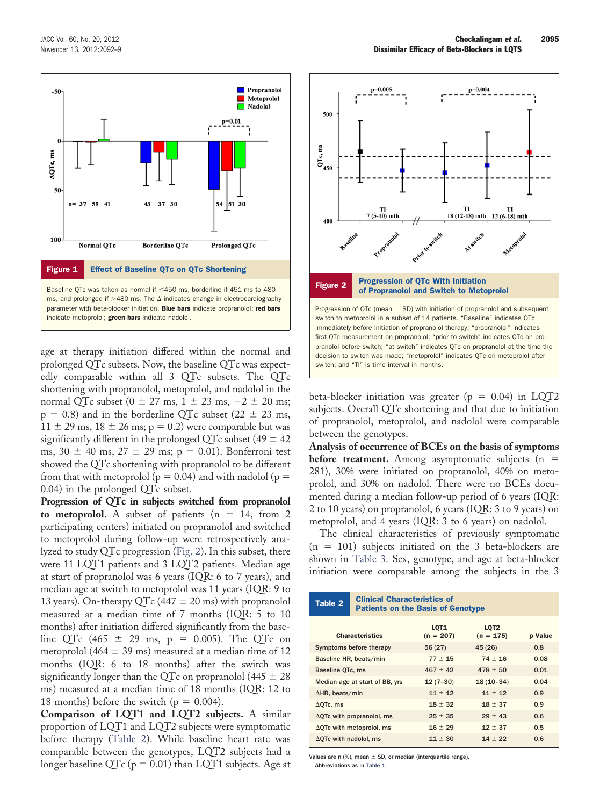

age at therapy initiation differed within the normal and prolonged QTc subsets. Now, the baseline QTc was expectedly comparable within all 3 QTc subsets. The QTc shortening with propranolol, metoprolol, and nadolol in the normal QTc subset ( $0 \pm 27$  ms,  $1 \pm 23$  ms,  $-2 \pm 20$  ms;  $p = 0.8$ ) and in the borderline QTc subset (22  $\pm$  23 ms,  $11 \pm 29$  ms,  $18 \pm 26$  ms;  $p = 0.2$ ) were comparable but was significantly different in the prolonged QTc subset (49  $\pm$  42 ms,  $30 \pm 40$  ms,  $27 \pm 29$  ms;  $p = 0.01$ ). Bonferroni test showed the QTc shortening with propranolol to be different from that with metoprolol ( $p = 0.04$ ) and with nadolol ( $p =$ 0.04) in the prolonged QTc subset.

**Progression of QTc in subjects switched from propranolol to metoprolol.** A subset of patients  $(n = 14, \text{ from } 2)$ participating centers) initiated on propranolol and switched to metoprolol during follow-up were retrospectively analyzed to study QTc progression (Fig. 2). In this subset, there were 11 LQT1 patients and 3 LQT2 patients. Median age at start of propranolol was 6 years (IQR: 6 to 7 years), and median age at switch to metoprolol was 11 years (IQR: 9 to 13 years). On-therapy QTc (447  $\pm$  20 ms) with propranolol measured at a median time of 7 months (IQR: 5 to 10 months) after initiation differed significantly from the baseline QTc (465  $\pm$  29 ms, p = 0.005). The QTc on metoprolol (464  $\pm$  39 ms) measured at a median time of 12 months (IQR: 6 to 18 months) after the switch was significantly longer than the QTc on propranolol (445  $\pm$  28 ms) measured at a median time of 18 months (IQR: 12 to 18 months) before the switch ( $p = 0.004$ ).

**Comparison of LQT1 and LQT2 subjects.** A similar proportion of LQT1 and LQT2 subjects were symptomatic before therapy (Table 2). While baseline heart rate was comparable between the genotypes, LQT2 subjects had a longer baseline QTc ( $p = 0.01$ ) than LQT1 subjects. Age at



beta-blocker initiation was greater ( $p = 0.04$ ) in LQT2 subjects. Overall QTc shortening and that due to initiation of propranolol, metoprolol, and nadolol were comparable between the genotypes.

**Analysis of occurrence of BCEs on the basis of symptoms before treatment.** Among asymptomatic subjects (n = 281), 30% were initiated on propranolol, 40% on metoprolol, and 30% on nadolol. There were no BCEs documented during a median follow-up period of 6 years (IQR: 2 to 10 years) on propranolol, 6 years (IQR: 3 to 9 years) on metoprolol, and 4 years (IQR: 3 to 6 years) on nadolol.

The clinical characteristics of previously symptomatic  $(n = 101)$  subjects initiated on the 3 beta-blockers are shown in Table 3. Sex, genotype, and age at beta-blocker initiation were comparable among the subjects in the 3

## Table 2 Clinical Characteristics of General Characteristics of General Characteristics of General Characteristics of General Characteristics of General Characteristics of General Characteristics of General Characteristics Patients on the Basis of Genotype

| <b>Characteristics</b>            | LQT1<br>$(n = 207)$ | LQT <sub>2</sub><br>$(n = 175)$ | <b>p</b> Value |
|-----------------------------------|---------------------|---------------------------------|----------------|
| Symptoms before therapy           | 56(27)              | 45(26)                          | 0.8            |
|                                   |                     |                                 |                |
| Baseline HR, beats/min            | $77 \pm 15$         | $74 \pm 16$                     | 0.08           |
| Baseline QTc, ms                  | $467 \pm 42$        | $478 \pm 50$                    | 0.01           |
| Median age at start of BB, yrs    | $12(7-30)$          | $18(10-34)$                     | 0.04           |
| $\Delta$ HR, beats/min            | $11 \pm 12$         | $11 \pm 12$                     | 0.9            |
| $\Delta$ OTc. ms                  | $18 \pm 32$         | $18 \pm 37$                     | 0.9            |
| $\Delta$ QTc with propranolol, ms | $25 \pm 35$         | $29 \pm 43$                     | 0.6            |
| $\Delta$ QTc with metoprolol, ms  | $16 \pm 29$         | $12 \pm 37$                     | 0.5            |
| $\Delta$ OTc with nadolol, ms     | $11 \pm 30$         | $14 + 22$                       | 0.6            |

Values are n (%), mean  $\pm$  SD, or median (interquartile range). Abbreviations as in Table 1.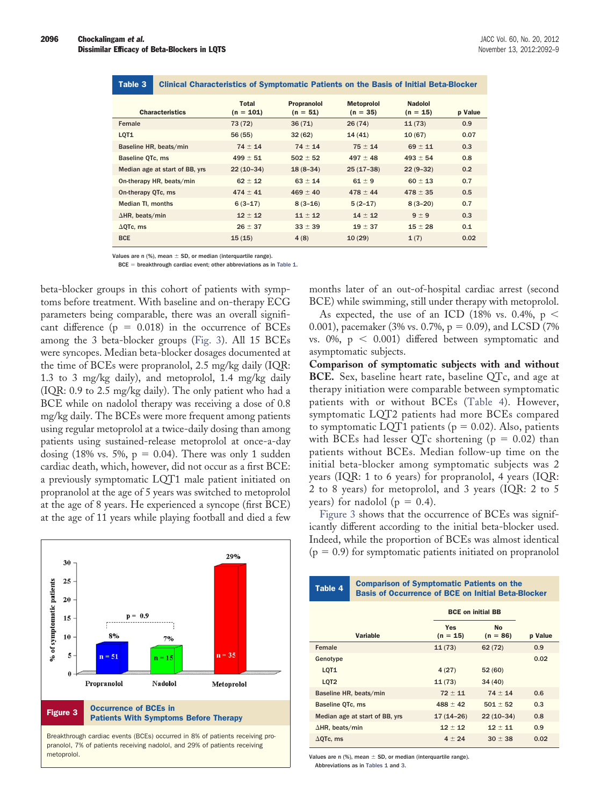| Table 3                 | <b>Clinical Characteristics of Symptomatic Patients on the Basis of Initial Beta-Blocker</b> |                             |                           |                                 |                              |         |
|-------------------------|----------------------------------------------------------------------------------------------|-----------------------------|---------------------------|---------------------------------|------------------------------|---------|
|                         | <b>Characteristics</b>                                                                       | <b>Total</b><br>$(n = 101)$ | Propranolol<br>$(n = 51)$ | <b>Metoprolol</b><br>$(n = 35)$ | <b>Nadolol</b><br>$(n = 15)$ | p Value |
| Female                  |                                                                                              | 73 (72)                     | 36(71)                    | 26(74)                          | 11(73)                       | 0.9     |
| LQT1                    |                                                                                              | 56 (55)                     | 32(62)                    | 14(41)                          | 10(67)                       | 0.07    |
|                         | Baseline HR, beats/min                                                                       | $74 \pm 14$                 | $74 \pm 14$               | $75 \pm 14$                     | $69 \pm 11$                  | 0.3     |
| <b>Baseline QTc, ms</b> |                                                                                              | $499 \pm 51$                | $502 \pm 52$              | $497 \pm 48$                    | $493 \pm 54$                 | 0.8     |
|                         | Median age at start of BB, yrs                                                               | $22(10-34)$                 | $18(8-34)$                | $25(17-38)$                     | $22(9-32)$                   | 0.2     |
|                         | On-therapy HR, beats/min                                                                     | $62 \pm 12$                 | $63 \pm 14$               | $61 \pm 9$                      | $60 \pm 13$                  | 0.7     |
| On-therapy QTc, ms      |                                                                                              | $474 \pm 41$                | $469 \pm 40$              | $478 \pm 44$                    | $478 \pm 35$                 | 0.5     |
| Median TI, months       |                                                                                              | $6(3-17)$                   | $8(3-16)$                 | $5(2-17)$                       | $8(3-20)$                    | 0.7     |
| $\Delta$ HR, beats/min  |                                                                                              | $12 \pm 12$                 | $11 \pm 12$               | $14 \pm 12$                     | $9 \pm 9$                    | 0.3     |
| $\Delta$ QTc, ms        |                                                                                              | $26 \pm 37$                 | $33 \pm 39$               | $19 \pm 37$                     | $15 \pm 28$                  | 0.1     |
| <b>BCE</b>              |                                                                                              | 15(15)                      | 4(8)                      | 10(29)                          | 1(7)                         | 0.02    |

Values are n (%), mean  $\pm$  SD, or median (interquartile range).

 $BCE =$  breakthrough cardiac event; other abbreviations as in Table 1.

beta-blocker groups in this cohort of patients with symptoms before treatment. With baseline and on-therapy ECG parameters being comparable, there was an overall significant difference  $(p = 0.018)$  in the occurrence of BCEs among the 3 beta-blocker groups (Fig. 3). All 15 BCEs were syncopes. Median beta-blocker dosages documented at the time of BCEs were propranolol, 2.5 mg/kg daily (IQR: 1.3 to 3 mg/kg daily), and metoprolol, 1.4 mg/kg daily (IQR: 0.9 to 2.5 mg/kg daily). The only patient who had a BCE while on nadolol therapy was receiving a dose of 0.8 mg/kg daily. The BCEs were more frequent among patients using regular metoprolol at a twice-daily dosing than among patients using sustained-release metoprolol at once-a-day dosing (18% vs. 5%,  $p = 0.04$ ). There was only 1 sudden cardiac death, which, however, did not occur as a first BCE: a previously symptomatic LQT1 male patient initiated on propranolol at the age of 5 years was switched to metoprolol at the age of 8 years. He experienced a syncope (first BCE) at the age of 11 years while playing football and died a few



months later of an out-of-hospital cardiac arrest (second BCE) while swimming, still under therapy with metoprolol.

As expected, the use of an ICD (18% vs. 0.4%, p  $<$ 0.001), pacemaker (3% vs. 0.7%,  $p = 0.09$ ), and LCSD (7%) vs. 0%,  $p < 0.001$ ) differed between symptomatic and asymptomatic subjects.

**Comparison of symptomatic subjects with and without BCE.** Sex, baseline heart rate, baseline QTc, and age at therapy initiation were comparable between symptomatic patients with or without BCEs (Table 4). However, symptomatic LQT2 patients had more BCEs compared to symptomatic LQT1 patients ( $p = 0.02$ ). Also, patients with BCEs had lesser QTc shortening  $(p = 0.02)$  than patients without BCEs. Median follow-up time on the initial beta-blocker among symptomatic subjects was 2 years (IQR: 1 to 6 years) for propranolol, 4 years (IQR: 2 to 8 years) for metoprolol, and 3 years (IQR: 2 to 5 years) for nadolol ( $p = 0.4$ ).

Figure 3 shows that the occurrence of BCEs was significantly different according to the initial beta-blocker used. Indeed, while the proportion of BCEs was almost identical  $(p = 0.9)$  for symptomatic patients initiated on propranolol

| Table 4                        | <b>Comparison of Symptomatic Patients on the</b><br><b>Basis of Occurrence of BCE on Initial Beta-Blocker</b> |                          |                         |         |  |
|--------------------------------|---------------------------------------------------------------------------------------------------------------|--------------------------|-------------------------|---------|--|
|                                |                                                                                                               | <b>BCE on initial BB</b> |                         |         |  |
|                                | Variable                                                                                                      | <b>Yes</b><br>$(n = 15)$ | <b>No</b><br>$(n = 86)$ | p Value |  |
| Female                         |                                                                                                               | 11(73)                   | 62 (72)                 | 0.9     |  |
| Genotype                       |                                                                                                               |                          |                         | 0.02    |  |
| LOT <sub>1</sub>               |                                                                                                               | 4(27)                    | 52(60)                  |         |  |
| LQT <sub>2</sub>               |                                                                                                               | 11(73)                   | 34(40)                  |         |  |
| Baseline HR, beats/min         |                                                                                                               | $72 \pm 11$              | $74 \pm 14$             | 0.6     |  |
| Baseline QTc, ms               |                                                                                                               | $488 \pm 42$             | $501 \pm 52$            | 0.3     |  |
| Median age at start of BB, yrs |                                                                                                               | $17(14-26)$              | $22(10-34)$             | 0.8     |  |
| $\Delta$ HR, beats/min         |                                                                                                               | $12 \pm 12$              | $12 \pm 11$             | 0.9     |  |
| $\Delta$ QTc, ms               |                                                                                                               | $4 \pm 24$               | $30 \pm 38$             | 0.02    |  |

Values are n (%), mean  $\pm$  SD, or median (interquartile range). Abbreviations as in Tables 1 and 3.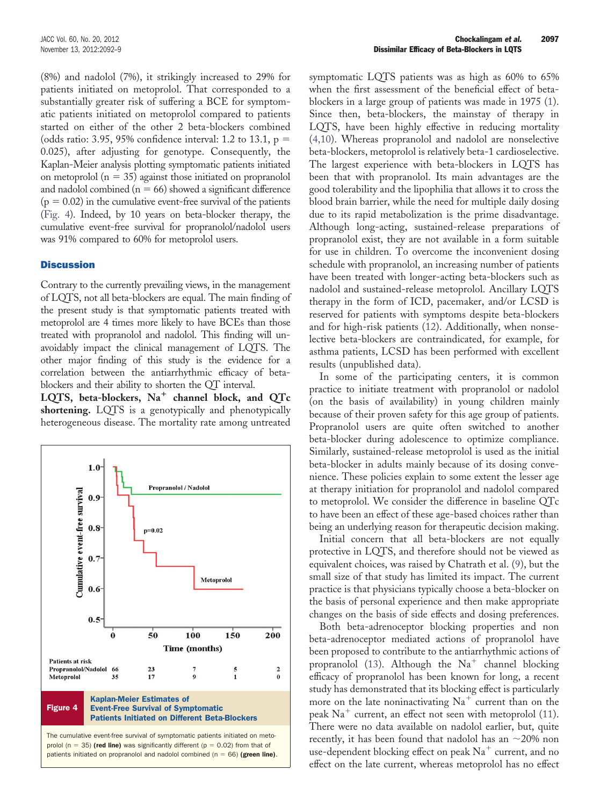(8%) and nadolol (7%), it strikingly increased to 29% for patients initiated on metoprolol. That corresponded to a substantially greater risk of suffering a BCE for symptomatic patients initiated on metoprolol compared to patients started on either of the other 2 beta-blockers combined (odds ratio: 3.95, 95% confidence interval: 1.2 to 13.1,  $p =$ 0.025), after adjusting for genotype. Consequently, the Kaplan-Meier analysis plotting symptomatic patients initiated on metoprolol ( $n = 35$ ) against those initiated on propranolol and nadolol combined ( $n = 66$ ) showed a significant difference  $(p = 0.02)$  in the cumulative event-free survival of the patients (Fig. 4). Indeed, by 10 years on beta-blocker therapy, the cumulative event-free survival for propranolol/nadolol users was 91% compared to 60% for metoprolol users.

## **Discussion**

Contrary to the currently prevailing views, in the management of LQTS, not all beta-blockers are equal. The main finding of the present study is that symptomatic patients treated with metoprolol are 4 times more likely to have BCEs than those treated with propranolol and nadolol. This finding will unavoidably impact the clinical management of LQTS. The other major finding of this study is the evidence for a correlation between the antiarrhythmic efficacy of betablockers and their ability to shorten the QT interval.

**LQTS, beta-blockers, Na**- **channel block, and QTc shortening.** LQTS is a genotypically and phenotypically heterogeneous disease. The mortality rate among untreated



symptomatic LQTS patients was as high as 60% to 65% when the first assessment of the beneficial effect of betablockers in a large group of patients was made in 1975 (1). Since then, beta-blockers, the mainstay of therapy in LQTS, have been highly effective in reducing mortality (4,10). Whereas propranolol and nadolol are nonselective beta-blockers, metoprolol is relatively beta-1 cardioselective. The largest experience with beta-blockers in LQTS has been that with propranolol. Its main advantages are the good tolerability and the lipophilia that allows it to cross the blood brain barrier, while the need for multiple daily dosing due to its rapid metabolization is the prime disadvantage. Although long-acting, sustained-release preparations of propranolol exist, they are not available in a form suitable for use in children. To overcome the inconvenient dosing schedule with propranolol, an increasing number of patients have been treated with longer-acting beta-blockers such as nadolol and sustained-release metoprolol. Ancillary LQTS therapy in the form of ICD, pacemaker, and/or LCSD is reserved for patients with symptoms despite beta-blockers and for high-risk patients (12). Additionally, when nonselective beta-blockers are contraindicated, for example, for asthma patients, LCSD has been performed with excellent results (unpublished data).

In some of the participating centers, it is common practice to initiate treatment with propranolol or nadolol (on the basis of availability) in young children mainly because of their proven safety for this age group of patients. Propranolol users are quite often switched to another beta-blocker during adolescence to optimize compliance. Similarly, sustained-release metoprolol is used as the initial beta-blocker in adults mainly because of its dosing convenience. These policies explain to some extent the lesser age at therapy initiation for propranolol and nadolol compared to metoprolol. We consider the difference in baseline QTc to have been an effect of these age-based choices rather than being an underlying reason for therapeutic decision making.

Initial concern that all beta-blockers are not equally protective in LQTS, and therefore should not be viewed as equivalent choices, was raised by Chatrath et al. (9), but the small size of that study has limited its impact. The current practice is that physicians typically choose a beta-blocker on the basis of personal experience and then make appropriate changes on the basis of side effects and dosing preferences.

Both beta-adrenoceptor blocking properties and non beta-adrenoceptor mediated actions of propranolol have been proposed to contribute to the antiarrhythmic actions of propranolol (13). Although the  $Na<sup>+</sup>$  channel blocking efficacy of propranolol has been known for long, a recent study has demonstrated that its blocking effect is particularly more on the late noninactivating  $Na<sup>+</sup>$  current than on the peak  $Na<sup>+</sup>$  current, an effect not seen with metoprolol (11). There were no data available on nadolol earlier, but, quite recently, it has been found that nadolol has an  $\sim$ 20% non use-dependent blocking effect on peak  $Na<sup>+</sup>$  current, and no effect on the late current, whereas metoprolol has no effect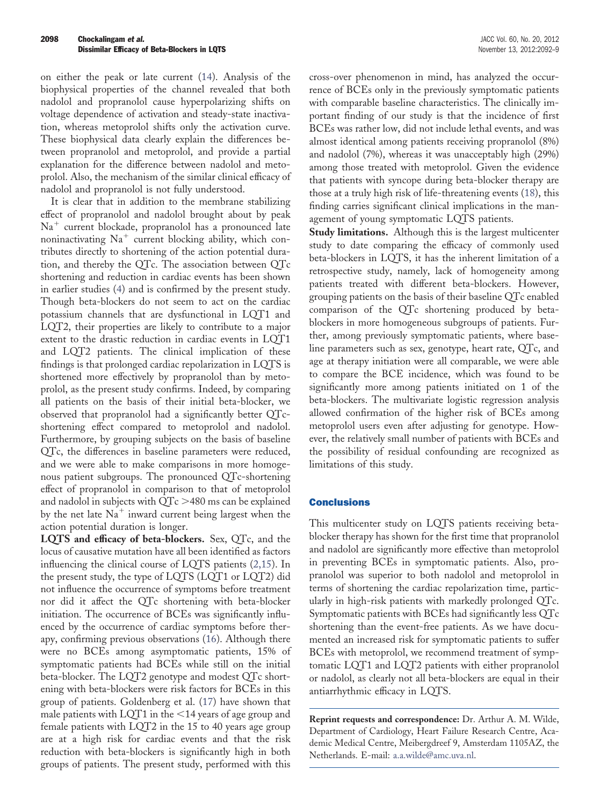on either the peak or late current (14). Analysis of the biophysical properties of the channel revealed that both nadolol and propranolol cause hyperpolarizing shifts on voltage dependence of activation and steady-state inactivation, whereas metoprolol shifts only the activation curve. These biophysical data clearly explain the differences between propranolol and metoprolol, and provide a partial explanation for the difference between nadolol and metoprolol. Also, the mechanism of the similar clinical efficacy of

nadolol and propranolol is not fully understood. It is clear that in addition to the membrane stabilizing effect of propranolol and nadolol brought about by peak  $Na<sup>+</sup>$  current blockade, propranolol has a pronounced late noninactivating  $Na<sup>+</sup>$  current blocking ability, which contributes directly to shortening of the action potential duration, and thereby the QTc. The association between QTc shortening and reduction in cardiac events has been shown in earlier studies (4) and is confirmed by the present study. Though beta-blockers do not seem to act on the cardiac potassium channels that are dysfunctional in LQT1 and LQT2, their properties are likely to contribute to a major extent to the drastic reduction in cardiac events in LQT1 and LQT2 patients. The clinical implication of these findings is that prolonged cardiac repolarization in LQTS is shortened more effectively by propranolol than by metoprolol, as the present study confirms. Indeed, by comparing all patients on the basis of their initial beta-blocker, we observed that propranolol had a significantly better QTcshortening effect compared to metoprolol and nadolol. Furthermore, by grouping subjects on the basis of baseline QTc, the differences in baseline parameters were reduced, and we were able to make comparisons in more homogenous patient subgroups. The pronounced QTc-shortening effect of propranolol in comparison to that of metoprolol and nadolol in subjects with  $QTc > 480$  ms can be explained by the net late  $Na<sup>+</sup>$  inward current being largest when the action potential duration is longer.

**LQTS and efficacy of beta-blockers.** Sex, QTc, and the locus of causative mutation have all been identified as factors influencing the clinical course of LQTS patients (2,15). In the present study, the type of LQTS (LQT1 or LQT2) did not influence the occurrence of symptoms before treatment nor did it affect the QTc shortening with beta-blocker initiation. The occurrence of BCEs was significantly influenced by the occurrence of cardiac symptoms before therapy, confirming previous observations (16). Although there were no BCEs among asymptomatic patients, 15% of symptomatic patients had BCEs while still on the initial beta-blocker. The LQT2 genotype and modest QTc shortening with beta-blockers were risk factors for BCEs in this group of patients. Goldenberg et al. (17) have shown that male patients with LQT1 in the  ${<}$ 14 years of age group and female patients with LQT2 in the 15 to 40 years age group are at a high risk for cardiac events and that the risk reduction with beta-blockers is significantly high in both groups of patients. The present study, performed with this cross-over phenomenon in mind, has analyzed the occurrence of BCEs only in the previously symptomatic patients with comparable baseline characteristics. The clinically important finding of our study is that the incidence of first BCEs was rather low, did not include lethal events, and was almost identical among patients receiving propranolol (8%) and nadolol (7%), whereas it was unacceptably high (29%) among those treated with metoprolol. Given the evidence that patients with syncope during beta-blocker therapy are those at a truly high risk of life-threatening events (18), this finding carries significant clinical implications in the management of young symptomatic LQTS patients.

**Study limitations.** Although this is the largest multicenter study to date comparing the efficacy of commonly used beta-blockers in LQTS, it has the inherent limitation of a retrospective study, namely, lack of homogeneity among patients treated with different beta-blockers. However, grouping patients on the basis of their baseline QTc enabled comparison of the QTc shortening produced by betablockers in more homogeneous subgroups of patients. Further, among previously symptomatic patients, where baseline parameters such as sex, genotype, heart rate, QTc, and age at therapy initiation were all comparable, we were able to compare the BCE incidence, which was found to be significantly more among patients initiated on 1 of the beta-blockers. The multivariate logistic regression analysis allowed confirmation of the higher risk of BCEs among metoprolol users even after adjusting for genotype. However, the relatively small number of patients with BCEs and the possibility of residual confounding are recognized as limitations of this study.

# **Conclusions**

This multicenter study on LQTS patients receiving betablocker therapy has shown for the first time that propranolol and nadolol are significantly more effective than metoprolol in preventing BCEs in symptomatic patients. Also, propranolol was superior to both nadolol and metoprolol in terms of shortening the cardiac repolarization time, particularly in high-risk patients with markedly prolonged QTc. Symptomatic patients with BCEs had significantly less QTc shortening than the event-free patients. As we have documented an increased risk for symptomatic patients to suffer BCEs with metoprolol, we recommend treatment of symptomatic LQT1 and LQT2 patients with either propranolol or nadolol, as clearly not all beta-blockers are equal in their antiarrhythmic efficacy in LQTS.

**Reprint requests and correspondence:** Dr. Arthur A. M. Wilde, Department of Cardiology, Heart Failure Research Centre, Academic Medical Centre, Meibergdreef 9, Amsterdam 1105AZ, the Netherlands. E-mail: a.a.wilde@amc.uva.nl.